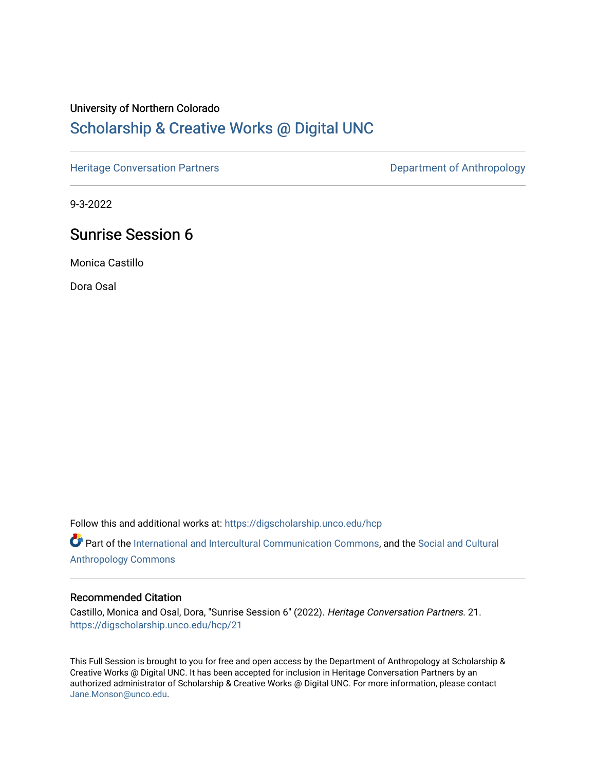### University of Northern Colorado

# [Scholarship & Creative Works @ Digital UNC](https://digscholarship.unco.edu/)

[Heritage Conversation Partners](https://digscholarship.unco.edu/hcp) **Department of Anthropology** 

9-3-2022

# Sunrise Session 6

Monica Castillo

Dora Osal

Follow this and additional works at: [https://digscholarship.unco.edu/hcp](https://digscholarship.unco.edu/hcp?utm_source=digscholarship.unco.edu%2Fhcp%2F21&utm_medium=PDF&utm_campaign=PDFCoverPages) 

Part of the [International and Intercultural Communication Commons,](http://network.bepress.com/hgg/discipline/331?utm_source=digscholarship.unco.edu%2Fhcp%2F21&utm_medium=PDF&utm_campaign=PDFCoverPages) and the Social and Cultural [Anthropology Commons](http://network.bepress.com/hgg/discipline/323?utm_source=digscholarship.unco.edu%2Fhcp%2F21&utm_medium=PDF&utm_campaign=PDFCoverPages)

#### Recommended Citation

Castillo, Monica and Osal, Dora, "Sunrise Session 6" (2022). Heritage Conversation Partners. 21. [https://digscholarship.unco.edu/hcp/21](https://digscholarship.unco.edu/hcp/21?utm_source=digscholarship.unco.edu%2Fhcp%2F21&utm_medium=PDF&utm_campaign=PDFCoverPages) 

This Full Session is brought to you for free and open access by the Department of Anthropology at Scholarship & Creative Works @ Digital UNC. It has been accepted for inclusion in Heritage Conversation Partners by an authorized administrator of Scholarship & Creative Works @ Digital UNC. For more information, please contact [Jane.Monson@unco.edu.](mailto:Jane.Monson@unco.edu)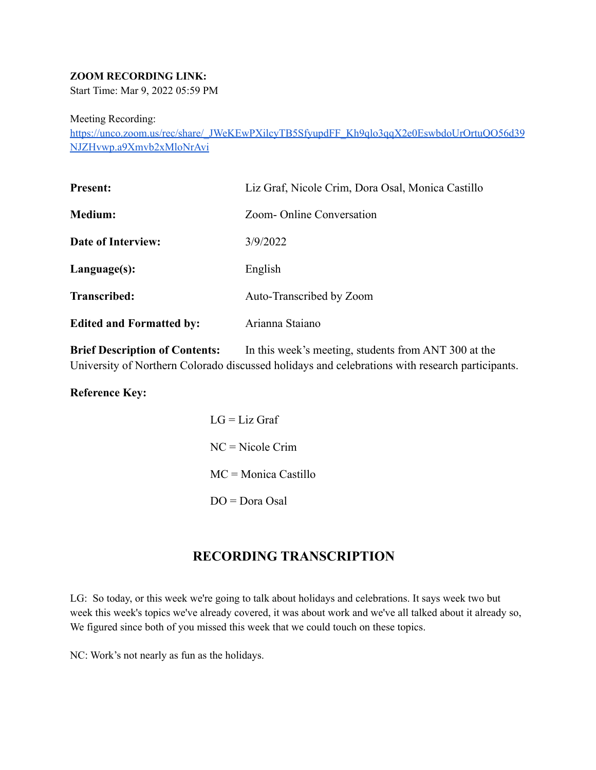### **ZOOM RECORDING LINK:**

Start Time: Mar 9, 2022 05:59 PM

Meeting Recording:

https://unco.zoom.us/rec/share/\_JWeKEwPXilcyTB5SfyupdFF\_Kh9qlo3qqX2e0EswbdoUrOrtuOO56d39 [NJZHvwp.a9Xmvb2xMloNrAvi](https://unco.zoom.us/rec/share/_JWeKEwPXilcyTB5SfyupdFF_Kh9qlo3qqX2e0EswbdoUrOrtuQO56d39NJZHvwp.a9Xmvb2xMloNrAvi)

| Liz Graf, Nicole Crim, Dora Osal, Monica Castillo |
|---------------------------------------------------|
| Zoom-Online Conversation                          |
| 3/9/2022                                          |
| English                                           |
| Auto-Transcribed by Zoom                          |
| Arianna Staiano                                   |
|                                                   |

**Brief Description of Contents:** In this week's meeting, students from ANT 300 at the University of Northern Colorado discussed holidays and celebrations with research participants.

**Reference Key:**

| $LG = Liz$ Graf               |
|-------------------------------|
| $NC = Nicole Crim$            |
| $MC = \text{Monica}$ Castillo |
| $DO = Dora$ Osal              |

### **RECORDING TRANSCRIPTION**

LG: So today, or this week we're going to talk about holidays and celebrations. It says week two but week this week's topics we've already covered, it was about work and we've all talked about it already so, We figured since both of you missed this week that we could touch on these topics.

NC: Work's not nearly as fun as the holidays.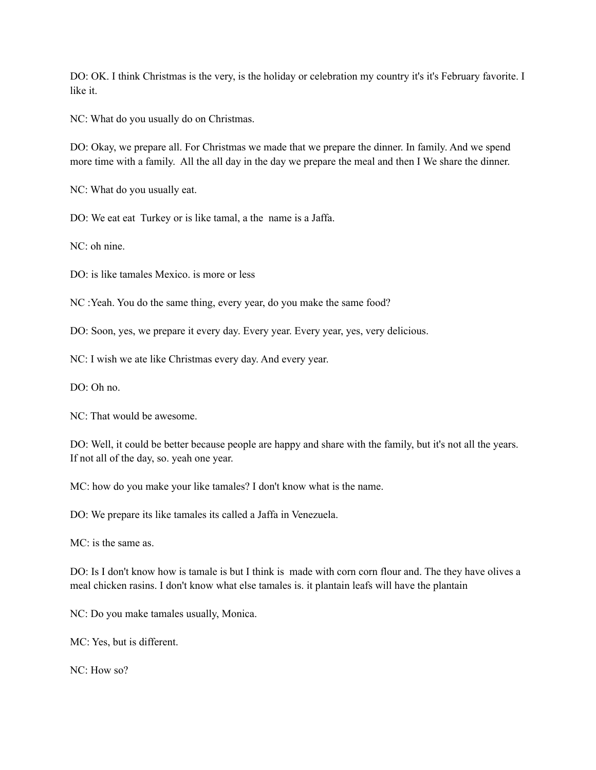DO: OK. I think Christmas is the very, is the holiday or celebration my country it's it's February favorite. I like it.

NC: What do you usually do on Christmas.

DO: Okay, we prepare all. For Christmas we made that we prepare the dinner. In family. And we spend more time with a family. All the all day in the day we prepare the meal and then I We share the dinner.

NC: What do you usually eat.

DO: We eat eat Turkey or is like tamal, a the name is a Jaffa.

NC: oh nine.

DO: is like tamales Mexico. is more or less

NC :Yeah. You do the same thing, every year, do you make the same food?

DO: Soon, yes, we prepare it every day. Every year. Every year, yes, very delicious.

NC: I wish we ate like Christmas every day. And every year.

DO: Oh no.

NC: That would be awesome.

DO: Well, it could be better because people are happy and share with the family, but it's not all the years. If not all of the day, so. yeah one year.

MC: how do you make your like tamales? I don't know what is the name.

DO: We prepare its like tamales its called a Jaffa in Venezuela.

MC: is the same as.

DO: Is I don't know how is tamale is but I think is made with corn corn flour and. The they have olives a meal chicken rasins. I don't know what else tamales is. it plantain leafs will have the plantain

NC: Do you make tamales usually, Monica.

MC: Yes, but is different.

NC: How so?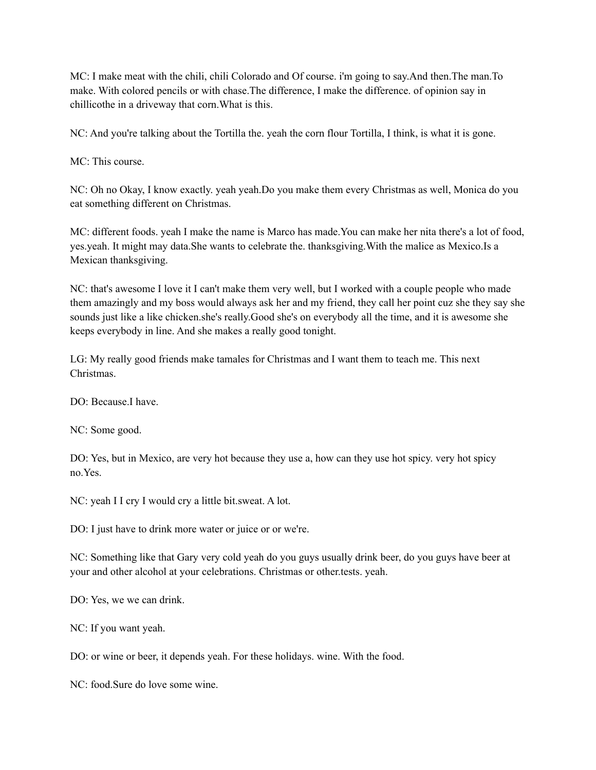MC: I make meat with the chili, chili Colorado and Of course. i'm going to say.And then.The man.To make. With colored pencils or with chase.The difference, I make the difference. of opinion say in chillicothe in a driveway that corn.What is this.

NC: And you're talking about the Tortilla the. yeah the corn flour Tortilla, I think, is what it is gone.

MC: This course.

NC: Oh no Okay, I know exactly. yeah yeah.Do you make them every Christmas as well, Monica do you eat something different on Christmas.

MC: different foods. yeah I make the name is Marco has made.You can make her nita there's a lot of food, yes.yeah. It might may data.She wants to celebrate the. thanksgiving.With the malice as Mexico.Is a Mexican thanksgiving.

NC: that's awesome I love it I can't make them very well, but I worked with a couple people who made them amazingly and my boss would always ask her and my friend, they call her point cuz she they say she sounds just like a like chicken.she's really.Good she's on everybody all the time, and it is awesome she keeps everybody in line. And she makes a really good tonight.

LG: My really good friends make tamales for Christmas and I want them to teach me. This next Christmas.

DO: Because.I have.

NC: Some good.

DO: Yes, but in Mexico, are very hot because they use a, how can they use hot spicy. very hot spicy no.Yes.

NC: yeah I I cry I would cry a little bit.sweat. A lot.

DO: I just have to drink more water or juice or or we're.

NC: Something like that Gary very cold yeah do you guys usually drink beer, do you guys have beer at your and other alcohol at your celebrations. Christmas or other.tests. yeah.

DO: Yes, we we can drink.

NC: If you want yeah.

DO: or wine or beer, it depends yeah. For these holidays. wine. With the food.

NC: food.Sure do love some wine.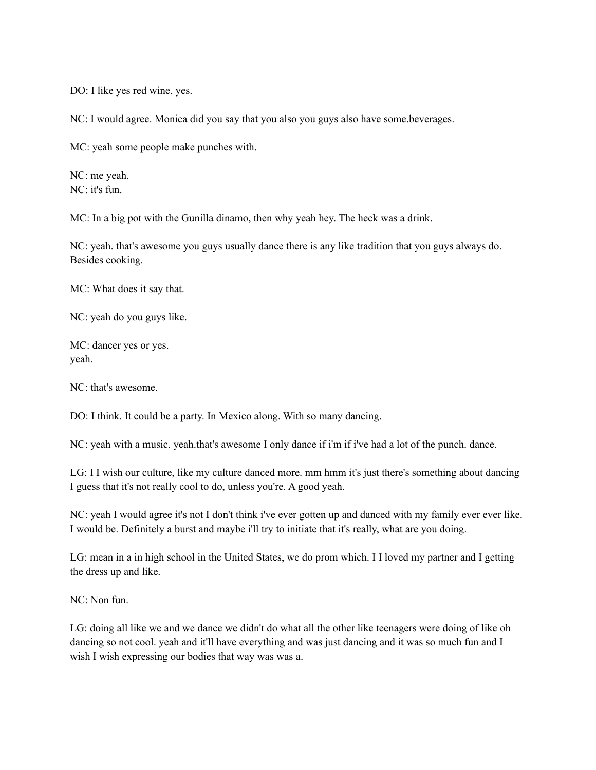DO: I like yes red wine, yes.

NC: I would agree. Monica did you say that you also you guys also have some.beverages.

MC: yeah some people make punches with.

NC: me yeah. NC: it's fun.

MC: In a big pot with the Gunilla dinamo, then why yeah hey. The heck was a drink.

NC: yeah. that's awesome you guys usually dance there is any like tradition that you guys always do. Besides cooking.

MC: What does it say that.

NC: yeah do you guys like.

MC: dancer yes or yes. yeah.

NC: that's awesome.

DO: I think. It could be a party. In Mexico along. With so many dancing.

NC: yeah with a music. yeah.that's awesome I only dance if i'm if i've had a lot of the punch. dance.

LG: I I wish our culture, like my culture danced more. mm hmm it's just there's something about dancing I guess that it's not really cool to do, unless you're. A good yeah.

NC: yeah I would agree it's not I don't think i've ever gotten up and danced with my family ever ever like. I would be. Definitely a burst and maybe i'll try to initiate that it's really, what are you doing.

LG: mean in a in high school in the United States, we do prom which. I I loved my partner and I getting the dress up and like.

NC: Non fun.

LG: doing all like we and we dance we didn't do what all the other like teenagers were doing of like oh dancing so not cool. yeah and it'll have everything and was just dancing and it was so much fun and I wish I wish expressing our bodies that way was was a.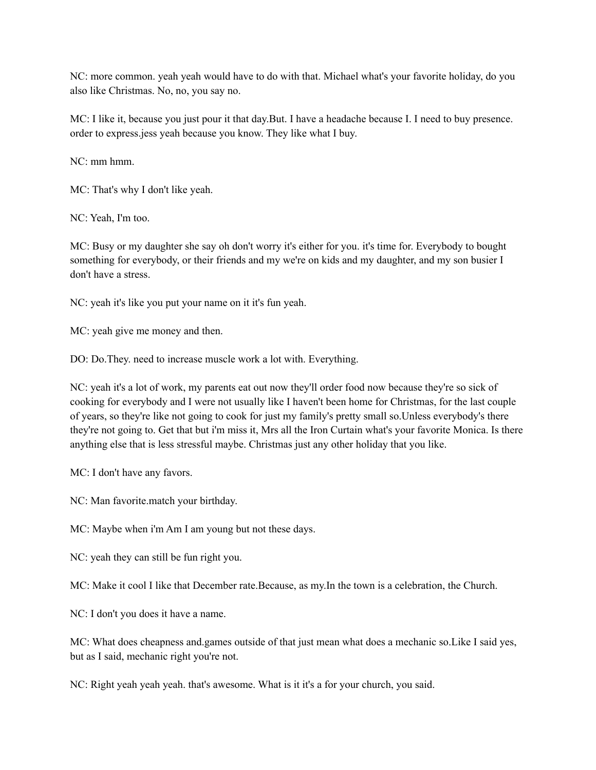NC: more common. yeah yeah would have to do with that. Michael what's your favorite holiday, do you also like Christmas. No, no, you say no.

MC: I like it, because you just pour it that day.But. I have a headache because I. I need to buy presence. order to express.jess yeah because you know. They like what I buy.

NC: mm hmm.

MC: That's why I don't like yeah.

NC: Yeah, I'm too.

MC: Busy or my daughter she say oh don't worry it's either for you. it's time for. Everybody to bought something for everybody, or their friends and my we're on kids and my daughter, and my son busier I don't have a stress.

NC: yeah it's like you put your name on it it's fun yeah.

MC: yeah give me money and then.

DO: Do.They. need to increase muscle work a lot with. Everything.

NC: yeah it's a lot of work, my parents eat out now they'll order food now because they're so sick of cooking for everybody and I were not usually like I haven't been home for Christmas, for the last couple of years, so they're like not going to cook for just my family's pretty small so.Unless everybody's there they're not going to. Get that but i'm miss it, Mrs all the Iron Curtain what's your favorite Monica. Is there anything else that is less stressful maybe. Christmas just any other holiday that you like.

MC: I don't have any favors.

NC: Man favorite.match your birthday.

MC: Maybe when i'm Am I am young but not these days.

NC: yeah they can still be fun right you.

MC: Make it cool I like that December rate.Because, as my.In the town is a celebration, the Church.

NC: I don't you does it have a name.

MC: What does cheapness and.games outside of that just mean what does a mechanic so.Like I said yes, but as I said, mechanic right you're not.

NC: Right yeah yeah yeah. that's awesome. What is it it's a for your church, you said.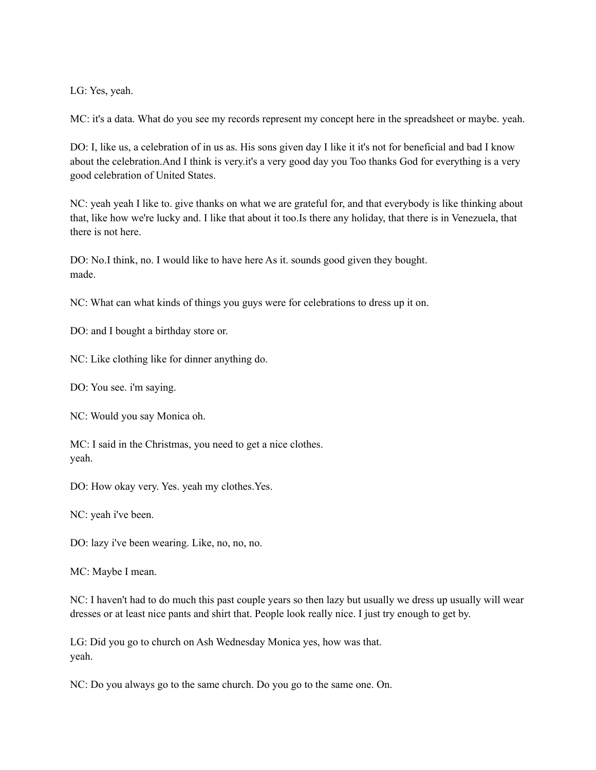LG: Yes, yeah.

MC: it's a data. What do you see my records represent my concept here in the spreadsheet or maybe. yeah.

DO: I, like us, a celebration of in us as. His sons given day I like it it's not for beneficial and bad I know about the celebration.And I think is very.it's a very good day you Too thanks God for everything is a very good celebration of United States.

NC: yeah yeah I like to. give thanks on what we are grateful for, and that everybody is like thinking about that, like how we're lucky and. I like that about it too.Is there any holiday, that there is in Venezuela, that there is not here.

DO: No.I think, no. I would like to have here As it. sounds good given they bought. made.

NC: What can what kinds of things you guys were for celebrations to dress up it on.

DO: and I bought a birthday store or.

NC: Like clothing like for dinner anything do.

DO: You see. i'm saying.

NC: Would you say Monica oh.

MC: I said in the Christmas, you need to get a nice clothes. yeah.

DO: How okay very. Yes. yeah my clothes.Yes.

NC: yeah i've been.

DO: lazy i've been wearing. Like, no, no, no.

MC: Maybe I mean.

NC: I haven't had to do much this past couple years so then lazy but usually we dress up usually will wear dresses or at least nice pants and shirt that. People look really nice. I just try enough to get by.

LG: Did you go to church on Ash Wednesday Monica yes, how was that. yeah.

NC: Do you always go to the same church. Do you go to the same one. On.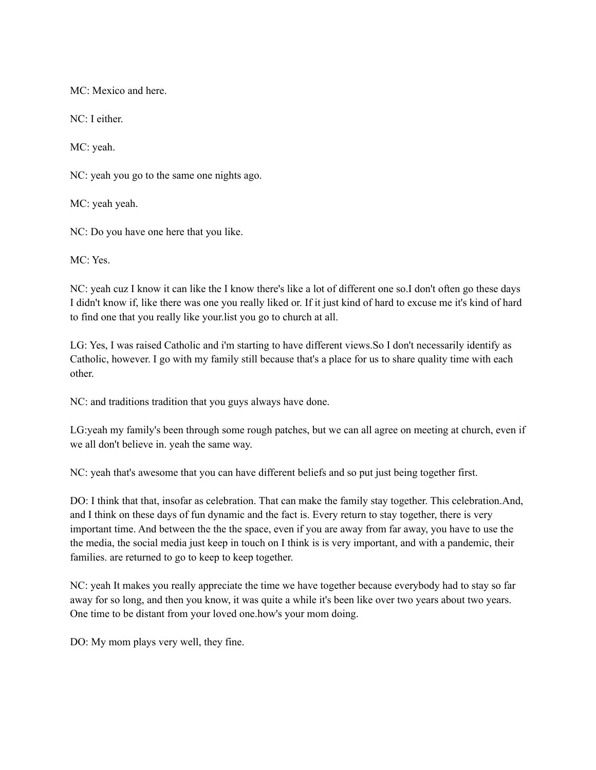MC: Mexico and here.

NC: I either.

MC: yeah.

NC: yeah you go to the same one nights ago.

MC: yeah yeah.

NC: Do you have one here that you like.

MC: Yes.

NC: yeah cuz I know it can like the I know there's like a lot of different one so.I don't often go these days I didn't know if, like there was one you really liked or. If it just kind of hard to excuse me it's kind of hard to find one that you really like your.list you go to church at all.

LG: Yes, I was raised Catholic and i'm starting to have different views.So I don't necessarily identify as Catholic, however. I go with my family still because that's a place for us to share quality time with each other.

NC: and traditions tradition that you guys always have done.

LG:yeah my family's been through some rough patches, but we can all agree on meeting at church, even if we all don't believe in. yeah the same way.

NC: yeah that's awesome that you can have different beliefs and so put just being together first.

DO: I think that that, insofar as celebration. That can make the family stay together. This celebration.And, and I think on these days of fun dynamic and the fact is. Every return to stay together, there is very important time. And between the the the space, even if you are away from far away, you have to use the the media, the social media just keep in touch on I think is is very important, and with a pandemic, their families. are returned to go to keep to keep together.

NC: yeah It makes you really appreciate the time we have together because everybody had to stay so far away for so long, and then you know, it was quite a while it's been like over two years about two years. One time to be distant from your loved one.how's your mom doing.

DO: My mom plays very well, they fine.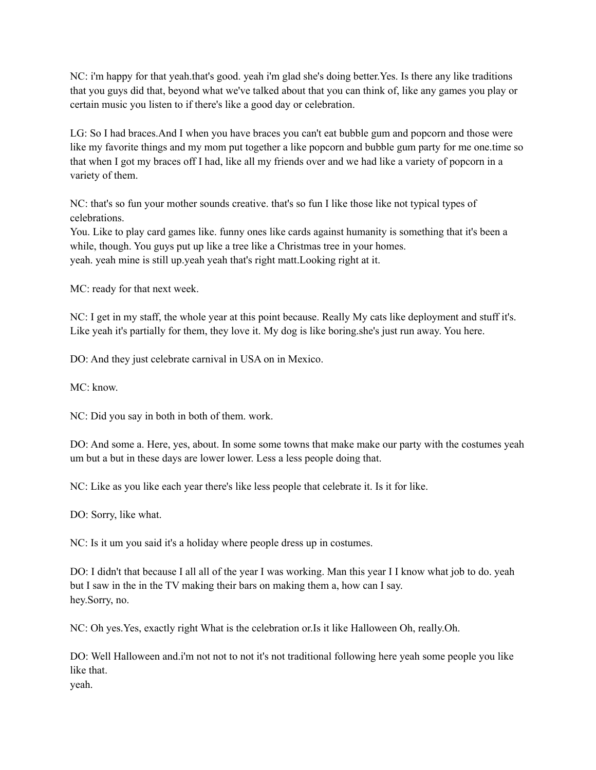NC: i'm happy for that yeah.that's good. yeah i'm glad she's doing better.Yes. Is there any like traditions that you guys did that, beyond what we've talked about that you can think of, like any games you play or certain music you listen to if there's like a good day or celebration.

LG: So I had braces.And I when you have braces you can't eat bubble gum and popcorn and those were like my favorite things and my mom put together a like popcorn and bubble gum party for me one.time so that when I got my braces off I had, like all my friends over and we had like a variety of popcorn in a variety of them.

NC: that's so fun your mother sounds creative. that's so fun I like those like not typical types of celebrations.

You. Like to play card games like. funny ones like cards against humanity is something that it's been a while, though. You guys put up like a tree like a Christmas tree in your homes. yeah. yeah mine is still up.yeah yeah that's right matt.Looking right at it.

MC: ready for that next week.

NC: I get in my staff, the whole year at this point because. Really My cats like deployment and stuff it's. Like yeah it's partially for them, they love it. My dog is like boring. she's just run away. You here.

DO: And they just celebrate carnival in USA on in Mexico.

 $MC:$  know.

NC: Did you say in both in both of them. work.

DO: And some a. Here, yes, about. In some some towns that make make our party with the costumes yeah um but a but in these days are lower lower. Less a less people doing that.

NC: Like as you like each year there's like less people that celebrate it. Is it for like.

DO: Sorry, like what.

NC: Is it um you said it's a holiday where people dress up in costumes.

DO: I didn't that because I all all of the year I was working. Man this year I I know what job to do. yeah but I saw in the in the TV making their bars on making them a, how can I say. hey.Sorry, no.

NC: Oh yes.Yes, exactly right What is the celebration or.Is it like Halloween Oh, really.Oh.

DO: Well Halloween and.i'm not not to not it's not traditional following here yeah some people you like like that.

yeah.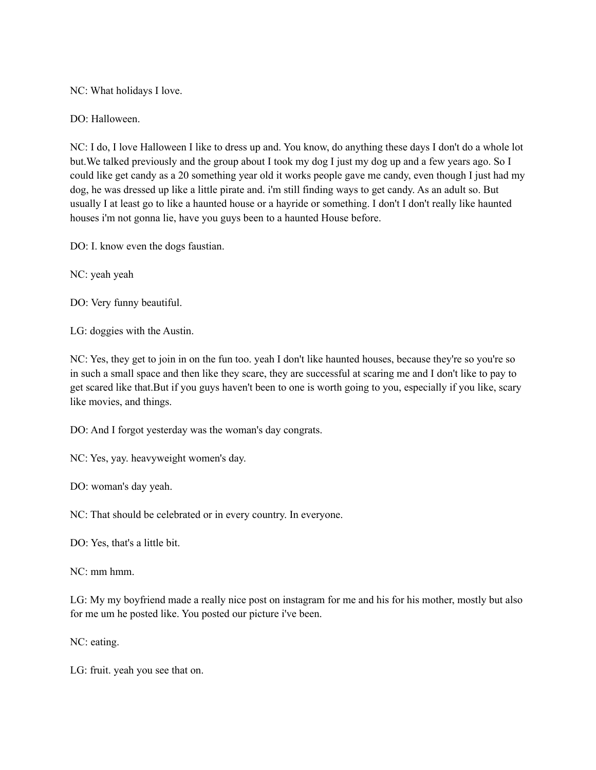NC: What holidays I love.

DO: Halloween.

NC: I do, I love Halloween I like to dress up and. You know, do anything these days I don't do a whole lot but.We talked previously and the group about I took my dog I just my dog up and a few years ago. So I could like get candy as a 20 something year old it works people gave me candy, even though I just had my dog, he was dressed up like a little pirate and. i'm still finding ways to get candy. As an adult so. But usually I at least go to like a haunted house or a hayride or something. I don't I don't really like haunted houses i'm not gonna lie, have you guys been to a haunted House before.

DO: I. know even the dogs faustian.

NC: yeah yeah

DO: Very funny beautiful.

LG: doggies with the Austin.

NC: Yes, they get to join in on the fun too. yeah I don't like haunted houses, because they're so you're so in such a small space and then like they scare, they are successful at scaring me and I don't like to pay to get scared like that.But if you guys haven't been to one is worth going to you, especially if you like, scary like movies, and things.

DO: And I forgot yesterday was the woman's day congrats.

NC: Yes, yay. heavyweight women's day.

DO: woman's day yeah.

NC: That should be celebrated or in every country. In everyone.

DO: Yes, that's a little bit.

NC: mm hmm.

LG: My my boyfriend made a really nice post on instagram for me and his for his mother, mostly but also for me um he posted like. You posted our picture i've been.

NC: eating.

LG: fruit. yeah you see that on.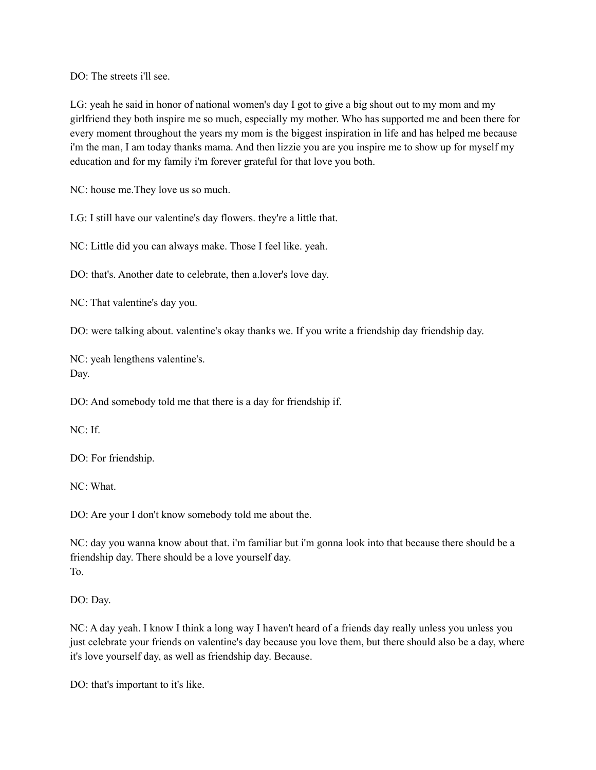DO: The streets i'll see.

LG: yeah he said in honor of national women's day I got to give a big shout out to my mom and my girlfriend they both inspire me so much, especially my mother. Who has supported me and been there for every moment throughout the years my mom is the biggest inspiration in life and has helped me because i'm the man, I am today thanks mama. And then lizzie you are you inspire me to show up for myself my education and for my family i'm forever grateful for that love you both.

NC: house me.They love us so much.

LG: I still have our valentine's day flowers. they're a little that.

NC: Little did you can always make. Those I feel like. yeah.

DO: that's. Another date to celebrate, then a.lover's love day.

NC: That valentine's day you.

DO: were talking about. valentine's okay thanks we. If you write a friendship day friendship day.

NC: yeah lengthens valentine's. Day.

DO: And somebody told me that there is a day for friendship if.

NC: If.

DO: For friendship.

NC: What.

DO: Are your I don't know somebody told me about the.

NC: day you wanna know about that. i'm familiar but i'm gonna look into that because there should be a friendship day. There should be a love yourself day. To.

DO: Day.

NC: A day yeah. I know I think a long way I haven't heard of a friends day really unless you unless you just celebrate your friends on valentine's day because you love them, but there should also be a day, where it's love yourself day, as well as friendship day. Because.

DO: that's important to it's like.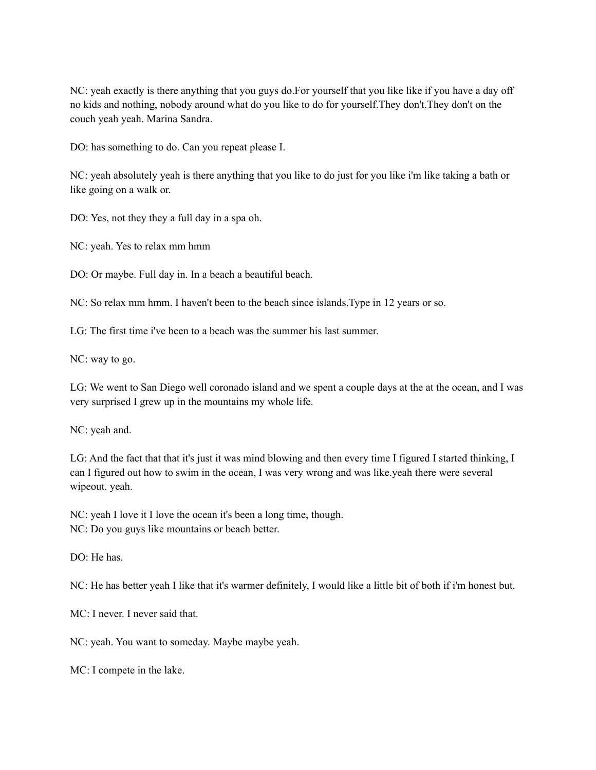NC: yeah exactly is there anything that you guys do.For yourself that you like like if you have a day off no kids and nothing, nobody around what do you like to do for yourself.They don't.They don't on the couch yeah yeah. Marina Sandra.

DO: has something to do. Can you repeat please I.

NC: yeah absolutely yeah is there anything that you like to do just for you like i'm like taking a bath or like going on a walk or.

DO: Yes, not they they a full day in a spa oh.

NC: yeah. Yes to relax mm hmm

DO: Or maybe. Full day in. In a beach a beautiful beach.

NC: So relax mm hmm. I haven't been to the beach since islands.Type in 12 years or so.

LG: The first time i've been to a beach was the summer his last summer.

NC: way to go.

LG: We went to San Diego well coronado island and we spent a couple days at the at the ocean, and I was very surprised I grew up in the mountains my whole life.

NC: yeah and.

LG: And the fact that that it's just it was mind blowing and then every time I figured I started thinking, I can I figured out how to swim in the ocean, I was very wrong and was like.yeah there were several wipeout. yeah.

NC: yeah I love it I love the ocean it's been a long time, though. NC: Do you guys like mountains or beach better.

DO: He has.

NC: He has better yeah I like that it's warmer definitely, I would like a little bit of both if i'm honest but.

MC: I never. I never said that.

NC: yeah. You want to someday. Maybe maybe yeah.

MC: I compete in the lake.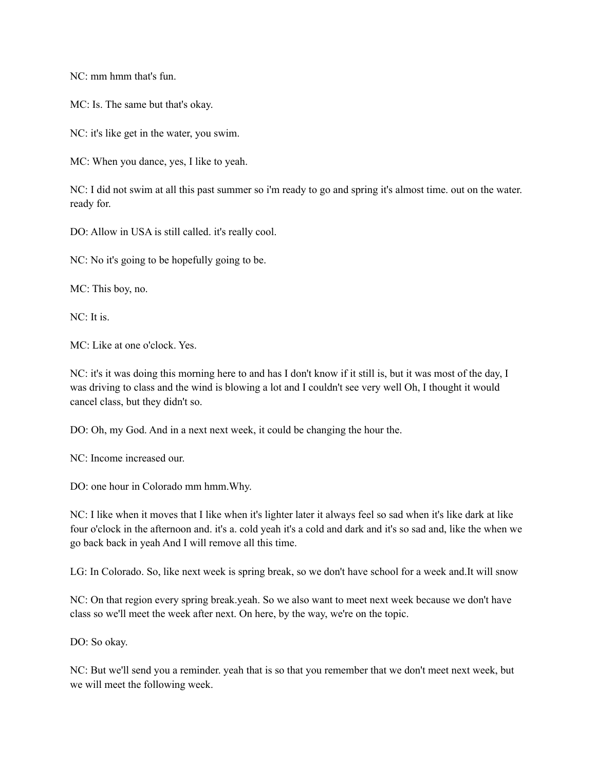NC: mm hmm that's fun.

MC: Is. The same but that's okay.

NC: it's like get in the water, you swim.

MC: When you dance, yes, I like to yeah.

NC: I did not swim at all this past summer so i'm ready to go and spring it's almost time. out on the water. ready for.

DO: Allow in USA is still called. it's really cool.

NC: No it's going to be hopefully going to be.

MC: This boy, no.

 $NC:$  It is.

MC: Like at one o'clock. Yes.

NC: it's it was doing this morning here to and has I don't know if it still is, but it was most of the day, I was driving to class and the wind is blowing a lot and I couldn't see very well Oh, I thought it would cancel class, but they didn't so.

DO: Oh, my God. And in a next next week, it could be changing the hour the.

NC: Income increased our.

DO: one hour in Colorado mm hmm.Why.

NC: I like when it moves that I like when it's lighter later it always feel so sad when it's like dark at like four o'clock in the afternoon and. it's a. cold yeah it's a cold and dark and it's so sad and, like the when we go back back in yeah And I will remove all this time.

LG: In Colorado. So, like next week is spring break, so we don't have school for a week and.It will snow

NC: On that region every spring break.yeah. So we also want to meet next week because we don't have class so we'll meet the week after next. On here, by the way, we're on the topic.

DO: So okay.

NC: But we'll send you a reminder. yeah that is so that you remember that we don't meet next week, but we will meet the following week.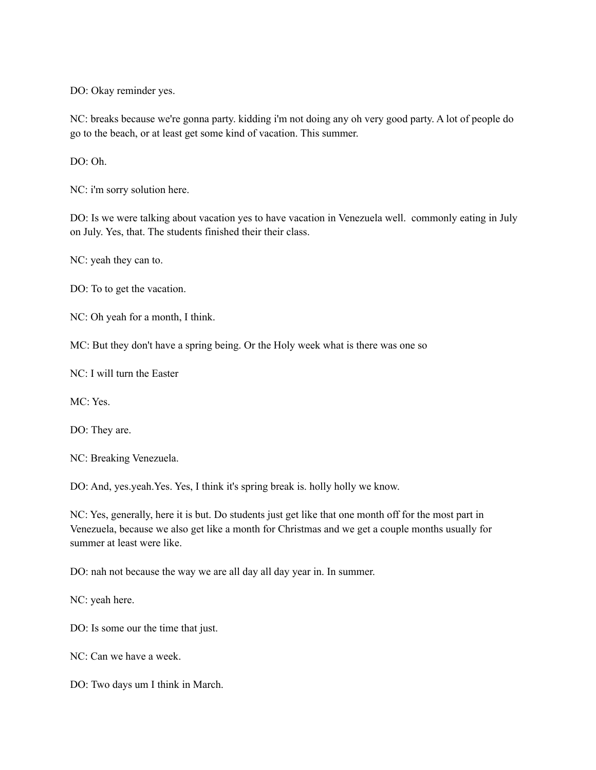DO: Okay reminder yes.

NC: breaks because we're gonna party. kidding i'm not doing any oh very good party. A lot of people do go to the beach, or at least get some kind of vacation. This summer.

DO: Oh.

NC: i'm sorry solution here.

DO: Is we were talking about vacation yes to have vacation in Venezuela well. commonly eating in July on July. Yes, that. The students finished their their class.

NC: yeah they can to.

DO: To to get the vacation.

NC: Oh yeah for a month, I think.

MC: But they don't have a spring being. Or the Holy week what is there was one so

NC: I will turn the Easter

MC: Yes.

DO: They are.

NC: Breaking Venezuela.

DO: And, yes.yeah.Yes. Yes, I think it's spring break is. holly holly we know.

NC: Yes, generally, here it is but. Do students just get like that one month off for the most part in Venezuela, because we also get like a month for Christmas and we get a couple months usually for summer at least were like.

DO: nah not because the way we are all day all day year in. In summer.

NC: yeah here.

DO: Is some our the time that just.

NC: Can we have a week.

DO: Two days um I think in March.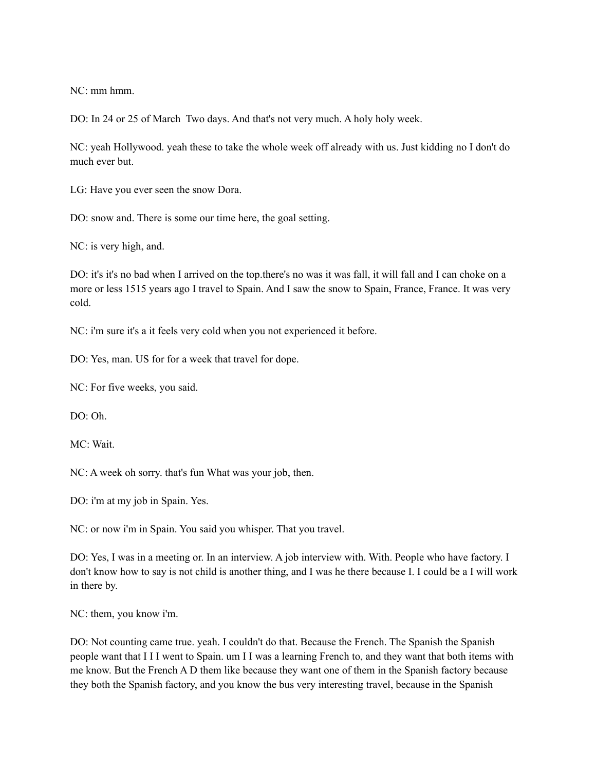NC: mm hmm.

DO: In 24 or 25 of March Two days. And that's not very much. A holy holy week.

NC: yeah Hollywood. yeah these to take the whole week off already with us. Just kidding no I don't do much ever but.

LG: Have you ever seen the snow Dora.

DO: snow and. There is some our time here, the goal setting.

NC: is very high, and.

DO: it's it's no bad when I arrived on the top.there's no was it was fall, it will fall and I can choke on a more or less 1515 years ago I travel to Spain. And I saw the snow to Spain, France, France. It was very cold.

NC: i'm sure it's a it feels very cold when you not experienced it before.

DO: Yes, man. US for for a week that travel for dope.

NC: For five weeks, you said.

 $DO: Oh$ 

MC: Wait.

NC: A week oh sorry. that's fun What was your job, then.

DO: i'm at my job in Spain. Yes.

NC: or now i'm in Spain. You said you whisper. That you travel.

DO: Yes, I was in a meeting or. In an interview. A job interview with. With. People who have factory. I don't know how to say is not child is another thing, and I was he there because I. I could be a I will work in there by.

NC: them, you know i'm.

DO: Not counting came true. yeah. I couldn't do that. Because the French. The Spanish the Spanish people want that I I I went to Spain. um I I was a learning French to, and they want that both items with me know. But the French A D them like because they want one of them in the Spanish factory because they both the Spanish factory, and you know the bus very interesting travel, because in the Spanish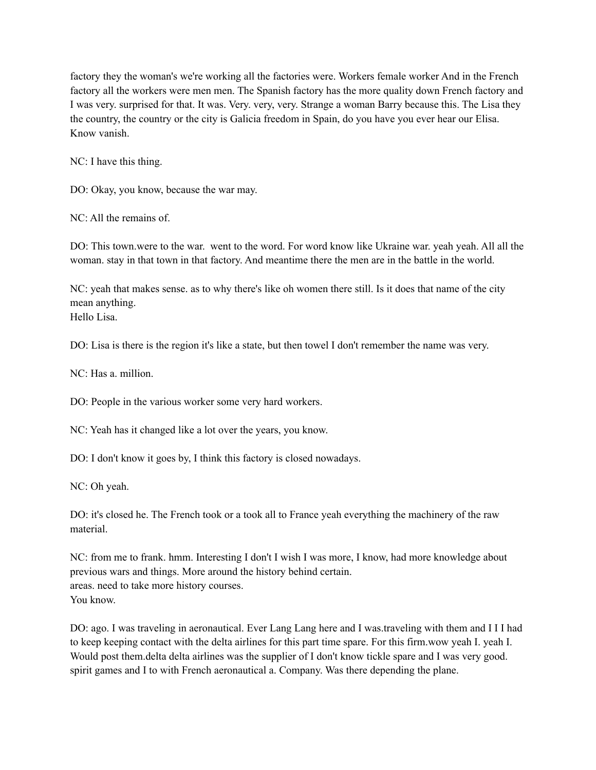factory they the woman's we're working all the factories were. Workers female worker And in the French factory all the workers were men men. The Spanish factory has the more quality down French factory and I was very. surprised for that. It was. Very. very, very. Strange a woman Barry because this. The Lisa they the country, the country or the city is Galicia freedom in Spain, do you have you ever hear our Elisa. Know vanish.

NC: I have this thing.

DO: Okay, you know, because the war may.

NC: All the remains of.

DO: This town.were to the war. went to the word. For word know like Ukraine war. yeah yeah. All all the woman. stay in that town in that factory. And meantime there the men are in the battle in the world.

NC: yeah that makes sense. as to why there's like oh women there still. Is it does that name of the city mean anything. Hello Lisa.

DO: Lisa is there is the region it's like a state, but then towel I don't remember the name was very.

NC<sup> $\cdot$ </sup> Has a million.

DO: People in the various worker some very hard workers.

NC: Yeah has it changed like a lot over the years, you know.

DO: I don't know it goes by, I think this factory is closed nowadays.

NC: Oh yeah.

DO: it's closed he. The French took or a took all to France yeah everything the machinery of the raw material.

NC: from me to frank. hmm. Interesting I don't I wish I was more, I know, had more knowledge about previous wars and things. More around the history behind certain. areas. need to take more history courses. You know.

DO: ago. I was traveling in aeronautical. Ever Lang Lang here and I was.traveling with them and I I I had to keep keeping contact with the delta airlines for this part time spare. For this firm.wow yeah I. yeah I. Would post them.delta delta airlines was the supplier of I don't know tickle spare and I was very good. spirit games and I to with French aeronautical a. Company. Was there depending the plane.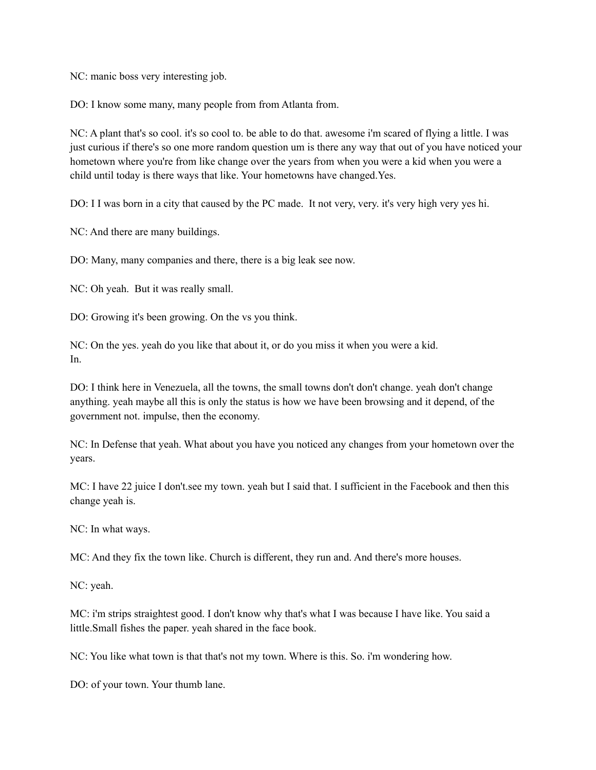NC: manic boss very interesting job.

DO: I know some many, many people from from Atlanta from.

NC: A plant that's so cool. it's so cool to. be able to do that. awesome i'm scared of flying a little. I was just curious if there's so one more random question um is there any way that out of you have noticed your hometown where you're from like change over the years from when you were a kid when you were a child until today is there ways that like. Your hometowns have changed.Yes.

DO: I I was born in a city that caused by the PC made. It not very, very. it's very high very yes hi.

NC: And there are many buildings.

DO: Many, many companies and there, there is a big leak see now.

NC: Oh yeah. But it was really small.

DO: Growing it's been growing. On the vs you think.

NC: On the yes. yeah do you like that about it, or do you miss it when you were a kid. In.

DO: I think here in Venezuela, all the towns, the small towns don't don't change. yeah don't change anything. yeah maybe all this is only the status is how we have been browsing and it depend, of the government not. impulse, then the economy.

NC: In Defense that yeah. What about you have you noticed any changes from your hometown over the years.

MC: I have 22 juice I don't.see my town. yeah but I said that. I sufficient in the Facebook and then this change yeah is.

NC: In what ways.

MC: And they fix the town like. Church is different, they run and. And there's more houses.

NC: yeah.

MC: i'm strips straightest good. I don't know why that's what I was because I have like. You said a little.Small fishes the paper. yeah shared in the face book.

NC: You like what town is that that's not my town. Where is this. So. i'm wondering how.

DO: of your town. Your thumb lane.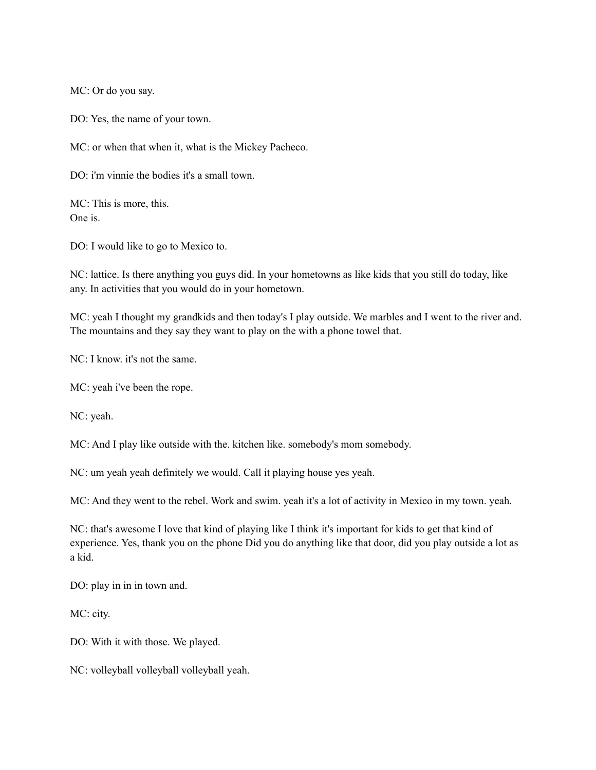MC: Or do you say.

DO: Yes, the name of your town.

MC: or when that when it, what is the Mickey Pacheco.

DO: i'm vinnie the bodies it's a small town.

MC: This is more, this. One is.

DO: I would like to go to Mexico to.

NC: lattice. Is there anything you guys did. In your hometowns as like kids that you still do today, like any. In activities that you would do in your hometown.

MC: yeah I thought my grandkids and then today's I play outside. We marbles and I went to the river and. The mountains and they say they want to play on the with a phone towel that.

NC: I know. it's not the same.

MC: yeah i've been the rope.

NC: yeah.

MC: And I play like outside with the. kitchen like. somebody's mom somebody.

NC: um yeah yeah definitely we would. Call it playing house yes yeah.

MC: And they went to the rebel. Work and swim. yeah it's a lot of activity in Mexico in my town. yeah.

NC: that's awesome I love that kind of playing like I think it's important for kids to get that kind of experience. Yes, thank you on the phone Did you do anything like that door, did you play outside a lot as a kid.

DO: play in in in town and.

MC: city.

DO: With it with those. We played.

NC: volleyball volleyball volleyball yeah.